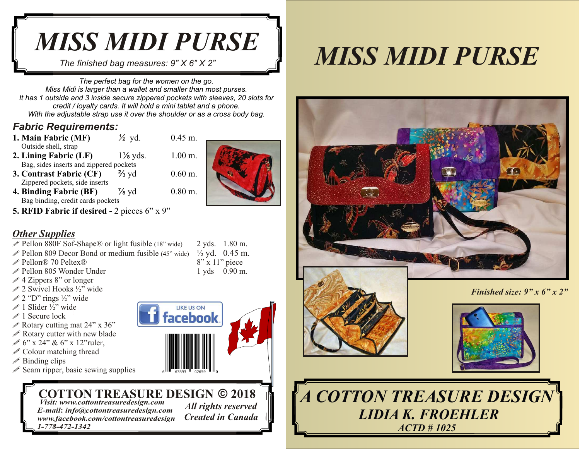# *MISS MIDI PURSE*

 *The finished bag measures: 9" X 6" X 2"* 

*The perfect bag for the women on the go. Miss Midi is larger than a wallet and smaller than most purses. It has 1 outside and 3 inside secure zippered pockets with sleeves, 20 slots for credit / loyalty cards. It will hold a mini tablet and a phone. With the adjustable strap use it over the shoulder or as a cross body bag.*

#### *Fabric Requirements:*<br>1. Main Fabric (MF)  $\frac{1}{2}$  yd.

- **1. Main Fabric (MF)** *½* yd. 0.45 m. Outside shell, strap **2. Lining Fabric (LF)** 1⅛ yds. 1.00 m.
- Bag, sides inserts and zippered pockets<br> **Contrast Fabric (CF)**  $\frac{2}{3}$  yd **3. Contrast Fabric (CF)** <sup>→</sup>⁄<sub>3</sub> yd 0.60 m. Zippered pockets, side inserts
	-
- **4. Binding Fabric (BF)**  $\frac{7}{8}$  yd 0.80 m. Bag binding, credit cards pockets
- **5. RFID Fabric if desired** 2 pieces 6" x 9"

## *Other Supplies*

- $\mathscr P$  Pellon 880F Sof-Shape® or light fusible (18" wide) 2 yds. 1.80 m.
- Pellon 809 Decor Bond or medium fusible (45" wide)  $\frac{1}{2}$  yd. 0.45 m.<br>Pellon® 70 Peltex® 8" x 11" piece
- $\mathscr{P}$  Pellon® 70 Peltex®
- Pellon 805 Wonder Under 1 yds 0.90 m.
- $\mathscr{\mathscr{E}}$  4 Zippers 8" or longer
- $\mathscr{D}$  2 Swivel Hooks ½" wide
- $\mathscr{D}$  2 "D" rings ½" wide
- $\mathscr{D}$  1 Slider ½" wide
- $\mathscr{D}$  1 Secure lock
- $\mathscr S$  Rotary cutting mat 24" x 36"
- $\mathscr P$  Rotary cutter with new blade
- $\mathscr{D}$  6" x 24" & 6" x 12" ruler,
- $\mathscr P$  Colour matching thread
- $\mathscr P$  Binding clips
- $\mathscr S$  Seam ripper, basic sewing supplies

# **COTTON TREASURE DESIGN © 2018**<br>Visit: www.cottontreasuredesign.com<br>E mail: info@eattontreasuredesign.com All rights reserved

 *Visit: www.cottontreasuredesign.com E-mail***:** *info@cottontreasuredesign.com All rights reserved www.facebook.com/cottontreasuredesign Created in Canada 1-778-472-1342*









*Finished size: 9" x 6" x 2"* 



**A COTTON TREASURE DESIGN LIDIA K. FROEHLER** *ACTD # 1025*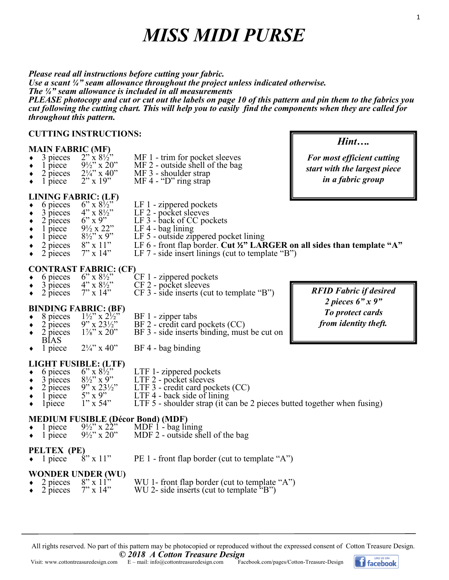# *MISS MIDI PURSE*

*Please read all instructions before cutting your fabric. Use a scant ¼" seam allowance throughout the project unless indicated otherwise. The ¼" seam allowance is included in all measurements PLEASE photocopy and cut or cut out the labels on page 10 of this pattern and pin them to the fabrics you cut following the cutting chart. This will help you to easily find the components when they are called for throughout this pattern.*

#### **CUTTING INSTRUCTIONS:**

- **MAIN FABRIC (MF)**<br>  $\bullet$  3 pieces 2" x 8<sup>1</sup>/<sub>2</sub>"<br>  $\bullet$  1 piece 9<sup>1</sup>/<sub>2</sub>" x 20" • 3 pieces  $2'' \times 8\frac{1}{2}$  MF 1 - trim for pocket sleeves<br>• 1 piece  $9\frac{1}{2}$  x 20" MF 2 - outside shell of the bag
- → 1 piece  $9\frac{1}{2}$ " x 20" MF 2 outside shell of the bag<br>
→ 2 pieces  $2\frac{1}{4}$ " x 40" MF 3 shoulder strap
- 
- 
- 2 pieces  $2\frac{1}{4}$ " x 40" MF 3 shoulder strap<br>1 piece  $2$ " x 19" MF 4 "D" ring strap  $MF 4 - "D" ring strap$ 
	-
- $\leftrightarrow$  6 pieces 6" x 8<sup>1/2"</sup> LF 1 zippered pockets
- $\overline{3}$  pieces  $4$ " x  $8\frac{1}{2}$ " LF 2 pocket sleeves
- **LINING FABRIC:** (LF)<br>  $\rightarrow$  6 pieces 6" x 8½"<br>  $\rightarrow$  3 pieces 4" x 8½"<br>  $\rightarrow$  2 pieces 6" x 9" 3 pieces  $4" \times 8\frac{1}{2}"$  LF 2 - pocket sleeves<br>
2 pieces  $6" \times 9"$  LF 3 - back of CC pockets<br>
1 piece  $9\frac{1}{2} \times 22"$  LF 4 - bag lining
- 
- 
- ◆ 1 piece  $9\frac{1}{2} \times 22$ " LF 4 bag lining<br>◆ 1 piece  $8\frac{1}{2} \times 9$ " LF 5 outside zin • 1 piece  $8\frac{1}{2}$ " x 9" LF 5 - outside zippered pocket lining<br>
• 2 pieces  $8$ " x 11" LF 6 - front flap border. Cut ½" LAF
- 
- 2 pieces 8" x 11" LF 6 front flap border. **Cut ½" LARGER on all sides than template "A"** • 2 pieces  $7" \times 14"$  LF 7 - side insert linings (cut to template "B")
- 
- **CONTRAST FABRIC:** (CF)<br>  $\bullet$  6 pieces 6" x 8½" (<br>  $\bullet$  3 pieces 4" x 8½" (<br>  $\bullet$  2 pieces 7" x 14"
- $\bullet$  3 pieces 4" x 8½" CF 2 pocket sleeves
- 6 pieces 6" x  $8\frac{1}{2}$ " CF 1 zippered pockets<br>3 pieces 4" x  $8\frac{1}{2}$ " CF 2 pocket sleeves<br>2 pieces 7" x 14" CF 3 side inserts (cut t  $\bullet$  2 pieces 7" x 14" CF 3 - side inserts (cut to template "B")

# **BINDING FABRIC: (BF)**<br> $\rightarrow$  8 pieces  $1\frac{1}{2}$ " x  $2\frac{1}{2}$ "

- 
- $\begin{array}{ll}\n\text{\textbullet} & 8 \text{ pieces} & 1\frac{1}{2} \text{°} \times 2\frac{1}{2} \text{°} & \text{BF 1 zipper tabs} \\
\text{\textbullet} & 2 \text{ pieces} & 9 \text{°} \times 23\frac{1}{2} \text{°} & \text{BF 2 credit card} \\
\text{\textbullet} & 2 \text{ pieces} & 1\frac{7}{8} \text{°} \times 20 \text{°} & \text{BF 3 side inserts}\n\end{array}$  $BF 2$  - credit card pockets (CC) • 2 pieces  $1\frac{7}{8}$ " x 20" BF 3 - side inserts binding, must be cut on
- BIAS<br>1 piece  $\bullet$  1 piece  $2\frac{1}{4}$ " x 40" BF 4 - bag binding

- **LIGHT FUSIBLE: (LTF)**<br>◆ 6 pieces 6" x 8½" 6 pieces 6" x  $8\frac{1}{2}$ " LTF 1- zippered pockets<br>3 pieces  $8\frac{1}{2}$ " x 9" LTF 2 - pocket sleeves
- 3 pieces  $8\frac{1}{2}$ " x 9" LTF 2 pocket sleeves<br>2 pieces 9" x 23½" LTF 3 credit card poc
- 2 pieces  $9'' \times 23\frac{1}{2}$ <br>1 piece  $5'' \times 9''$  LTF 4 back side of lining
	- $5" \times 9"$  LTF 4 back side of lining<br> $1" \times 54"$  LTF 5 shoulder strap (it c.
- 1 piece  $1''$  x 54" LTF 5 shoulder strap (it can be 2 pieces butted together when fusing)

# **MEDIUM FUSIBLE (Décor Bond) (MDF)**<br>◆ 1 piece 9½" x 22" MDF 1 - bag lu

- 1 piece  $9\frac{1}{2}$ " x 22" MDF 1 bag lining<br>1 piece  $9\frac{1}{2}$ " x 20" MDF 2 outside sho
- $MDF 2$  outside shell of the bag

**PELTEX (PE)**<br> $\cdot$  1 piece  $8$ " x 11" PE 1 - front flap border (cut to template "A")

**WONDER UNDER (WU)**<br> **•** 2 pieces 8" x 11"<br> **•** 2 pieces 7" x 14" WU 1- front flap border (cut to template "A") WU 2- side inserts (cut to template  $"B"$ )

All rights reserved. No part of this pattern may be photocopied or reproduced without the expressed consent of Cotton Treasure Design.



*RFID Fabric if desired 2 pieces 6" x 9" To protect cards from identity theft.*

*Hint….*

1

*For most efficient cutting start with the largest piece in a fabric group*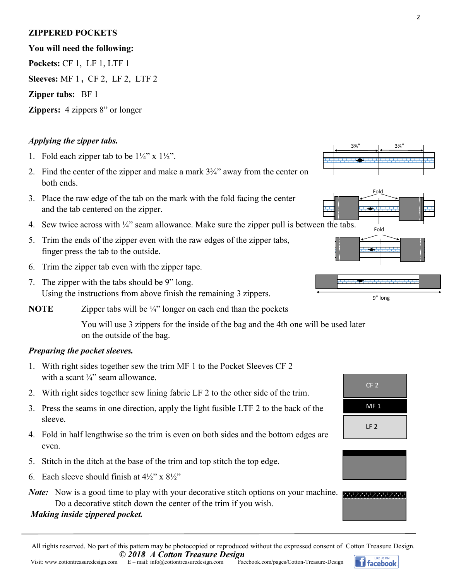### **ZIPPERED POCKETS**

#### **You will need the following:**

**Pockets:** CF 1, LF 1, LTF 1

**Sleeves:** MF 1 **,** CF 2, LF 2, LTF 2

#### **Zipper tabs:** BF 1

**Zippers:** 4 zippers 8" or longer

#### *Applying the zipper tabs.*

- 1. Fold each zipper tab to be  $1\frac{1}{4}$ " x  $1\frac{1}{2}$ ".
- 2. Find the center of the zipper and make a mark  $3\frac{3}{4}$ " away from the center on both ends.
- 3. Place the raw edge of the tab on the mark with the fold facing the center and the tab centered on the zipper.
- 4. Sew twice across with  $\frac{1}{4}$ " seam allowance. Make sure the zipper pull is between the tabs.
- 5. Trim the ends of the zipper even with the raw edges of the zipper tabs, finger press the tab to the outside.
- 6. Trim the zipper tab even with the zipper tape.
- 7. The zipper with the tabs should be 9" long. Using the instructions from above finish the remaining 3 zippers.

**NOTE** Zipper tabs will be ¼" longer on each end than the pockets

 You will use 3 zippers for the inside of the bag and the 4th one will be used later on the outside of the bag.

#### *Preparing the pocket sleeves.*

- 1. With right sides together sew the trim MF 1 to the Pocket Sleeves CF 2 with a scant  $\frac{1}{4}$ " seam allowance.
- 2. With right sides together sew lining fabric LF 2 to the other side of the trim.
- 3. Press the seams in one direction, apply the light fusible LTF 2 to the back of the sleeve.
- 4. Fold in half lengthwise so the trim is even on both sides and the bottom edges are even.
- 5. Stitch in the ditch at the base of the trim and top stitch the top edge.
- 6. Each sleeve should finish at  $4\frac{1}{2}$ " x  $8\frac{1}{2}$ "

*Note*: Now is a good time to play with your decorative stitch options on your machine. Do a decorative stitch down the center of the trim if you wish.

#### *Making inside zippered pocket.*















**facebook**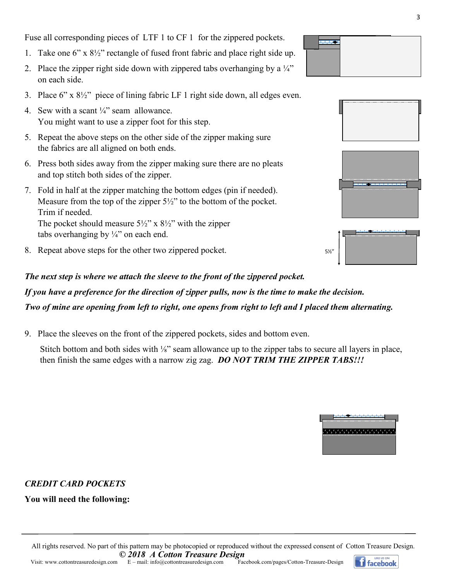Fuse all corresponding pieces of LTF 1 to CF 1 for the zippered pockets.

- 1. Take one 6" x 8½" rectangle of fused front fabric and place right side up.
- 2. Place the zipper right side down with zippered tabs overhanging by a  $\frac{1}{4}$ " on each side.
- 3. Place 6" x 8½" piece of lining fabric LF 1 right side down, all edges even.
- 4. Sew with a scant  $\frac{1}{4}$ " seam allowance. You might want to use a zipper foot for this step.
- 5. Repeat the above steps on the other side of the zipper making sure the fabrics are all aligned on both ends.
- 6. Press both sides away from the zipper making sure there are no pleats and top stitch both sides of the zipper.
- 7. Fold in half at the zipper matching the bottom edges (pin if needed). Measure from the top of the zipper 5½" to the bottom of the pocket. Trim if needed. The pocket should measure  $5\frac{1}{2}$ " x  $8\frac{1}{2}$ " with the zipper tabs overhanging by  $\frac{1}{4}$  on each end.
- 8. Repeat above steps for the other two zippered pocket.

#### *The next step is where we attach the sleeve to the front of the zippered pocket.*

# *If you have a preference for the direction of zipper pulls, now is the time to make the decision. Two of mine are opening from left to right, one opens from right to left and I placed them alternating.*

9. Place the sleeves on the front of the zippered pockets, sides and bottom even.

Stitch bottom and both sides with <sup> $\frac{1}{8}$ </sup> seam allowance up to the zipper tabs to secure all layers in place, then finish the same edges with a narrow zig zag. *DO NOT TRIM THE ZIPPER TABS!!!*

#### *CREDIT CARD POCKETS*

#### **You will need the following:**







| $5\frac{1}{2}$ |  |
|----------------|--|
|                |  |



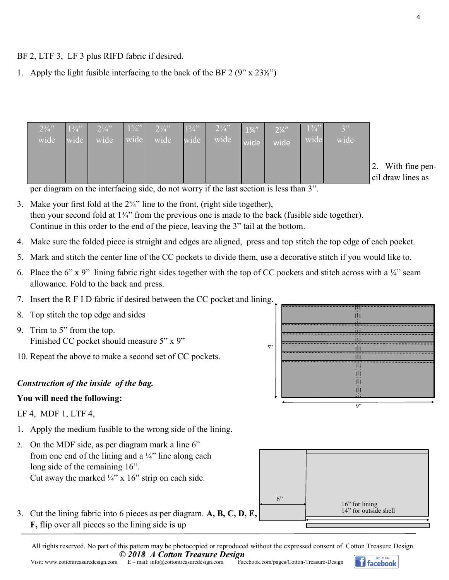BF 2, LTF 3, LF 3 plus RIFD fabric if desired.

1. Apply the light fusible interfacing to the back of the BF  $2(9" \times 23\frac{1}{2})$ 

| $2\frac{3}{4}$ |                     |  |                     |  |      | $\sqrt{3"}$ |     |
|----------------|---------------------|--|---------------------|--|------|-------------|-----|
| wide           | wide wide wide wide |  | wide wide wide wide |  | wide | wide        |     |
|                |                     |  |                     |  |      |             |     |
|                |                     |  |                     |  |      |             | cil |

With fine pendraw lines as

per diagram on the interfacing side, do not worry if the last section is less than 3".

- 3. Make your first fold at the  $2\frac{3}{4}$ " line to the front, (right side together), then your second fold at 1¾" from the previous one is made to the back (fusible side together). Continue in this order to the end of the piece, leaving the 3" tail at the bottom.
- 4. Make sure the folded piece is straight and edges are aligned, press and top stitch the top edge of each pocket.
- 5. Mark and stitch the center line of the CC pockets to divide them, use a decorative stitch if you would like to.
- 6. Place the 6" x 9" lining fabric right sides together with the top of CC pockets and stitch across with a  $\frac{1}{4}$ " seam allowance. Fold to the back and press.
- 7. Insert the R F I D fabric if desired between the CC pocket and lining.
- 8. Top stitch the top edge and sides
- 9. Trim to 5" from the top. Finished CC pocket should measure 5" x 9"
- 10. Repeat the above to make a second set of CC pockets.

#### *Construction of the inside of the bag.*

#### **You will need the following:**

LF 4, MDF 1, LTF 4,

- 1. Apply the medium fusible to the wrong side of the lining.
- 2. On the MDF side, as per diagram mark a line 6" from one end of the lining and a  $\frac{1}{4}$ " line along each long side of the remaining 16". Cut away the marked  $\frac{1}{4}$ " x 16" strip on each side.
- 3. Cut the lining fabric into 6 pieces as per diagram. **A, B, C, D, E, F,** flip over all pieces so the lining side is up

| .  |  |
|----|--|
|    |  |
|    |  |
|    |  |
|    |  |
|    |  |
|    |  |
|    |  |
|    |  |
|    |  |
|    |  |
|    |  |
|    |  |
|    |  |
| 9" |  |

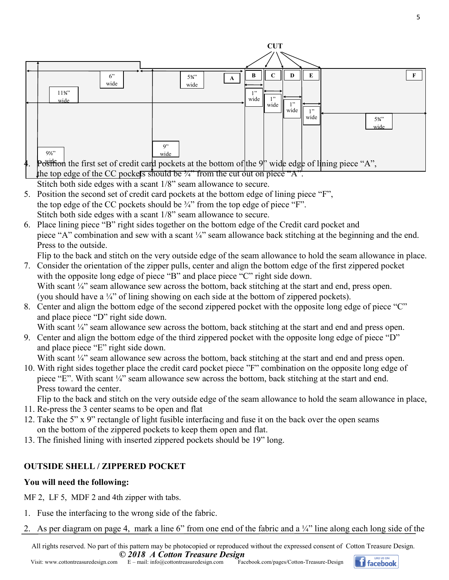

- 5. Position the second set of credit card pockets at the bottom edge of lining piece "F", the top edge of the CC pockets should be  $\frac{3}{4}$ " from the top edge of piece "F". Stitch both side edges with a scant 1/8" seam allowance to secure.
- 6. Place lining piece "B" right sides together on the bottom edge of the Credit card pocket and piece "A" combination and sew with a scant ¼" seam allowance back stitching at the beginning and the end. Press to the outside.

Flip to the back and stitch on the very outside edge of the seam allowance to hold the seam allowance in place.

- 7. Consider the orientation of the zipper pulls, center and align the bottom edge of the first zippered pocket with the opposite long edge of piece "B" and place piece "C" right side down. With scant ¼" seam allowance sew across the bottom, back stitching at the start and end, press open. (you should have a ¼" of lining showing on each side at the bottom of zippered pockets).
- 8. Center and align the bottom edge of the second zippered pocket with the opposite long edge of piece "C" and place piece "D" right side down.

With scant ¼" seam allowance sew across the bottom, back stitching at the start and end and press open.

9. Center and align the bottom edge of the third zippered pocket with the opposite long edge of piece "D" and place piece "E" right side down.

With scant ¼" seam allowance sew across the bottom, back stitching at the start and end and press open.

10. With right sides together place the credit card pocket piece "F" combination on the opposite long edge of piece "E". With scant ¼" seam allowance sew across the bottom, back stitching at the start and end. Press toward the center.

Flip to the back and stitch on the very outside edge of the seam allowance to hold the seam allowance in place,

- 11. Re-press the 3 center seams to be open and flat
- 12. Take the 5" x 9" rectangle of light fusible interfacing and fuse it on the back over the open seams on the bottom of the zippered pockets to keep them open and flat.
- 13. The finished lining with inserted zippered pockets should be 19" long.

# **OUTSIDE SHELL / ZIPPERED POCKET**

## **You will need the following:**

MF 2, LF 5, MDF 2 and 4th zipper with tabs.

- 1. Fuse the interfacing to the wrong side of the fabric.
- 2. As per diagram on page 4, mark a line 6" from one end of the fabric and a  $\frac{1}{4}$ " line along each long side of the

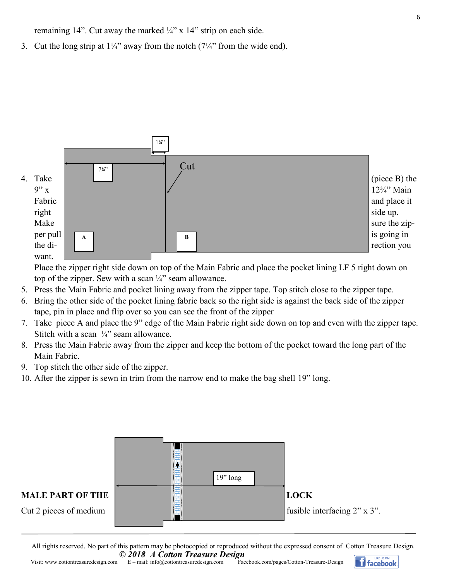remaining 14". Cut away the marked  $\frac{1}{4}$ " x 14" strip on each side.

3. Cut the long strip at  $1\frac{1}{4}$ " away from the notch  $(7\frac{1}{4}$ " from the wide end).



Place the zipper right side down on top of the Main Fabric and place the pocket lining LF 5 right down on top of the zipper. Sew with a scan  $\frac{1}{4}$  seam allowance.

- 5. Press the Main Fabric and pocket lining away from the zipper tape. Top stitch close to the zipper tape.
- 6. Bring the other side of the pocket lining fabric back so the right side is against the back side of the zipper tape, pin in place and flip over so you can see the front of the zipper
- 7. Take piece A and place the 9" edge of the Main Fabric right side down on top and even with the zipper tape. Stitch with a scan  $\frac{1}{4}$ " seam allowance.
- 8. Press the Main Fabric away from the zipper and keep the bottom of the pocket toward the long part of the Main Fabric.
- 9. Top stitch the other side of the zipper.
- 10. After the zipper is sewn in trim from the narrow end to make the bag shell 19" long.



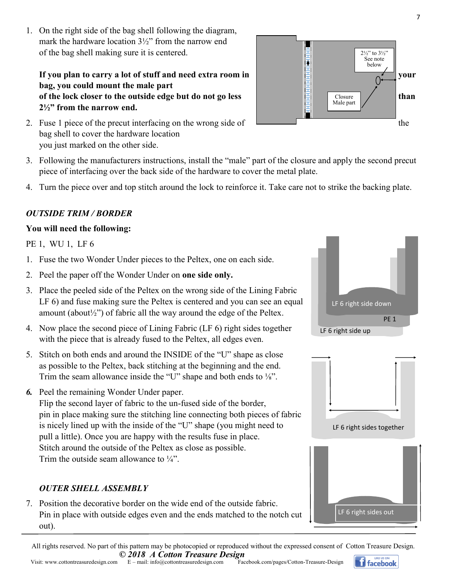All rights reserved. No part of this pattern may be photocopied or reproduced without the expressed consent of Cotton Treasure Design. *© 2018 A Cotton Treasure Design* LIKE US ON

1. On the right side of the bag shell following the diagram, mark the hardware location 3½" from the narrow end of the bag shell making sure it is centered.

# **bag, you could mount the male part of the lock closer to the outside edge but do not go less**  $\left| \begin{array}{cc} \end{array} \right|$   $\left| \begin{array}{cc} \end{array} \right|$   $\left| \begin{array}{cc} \end{array} \right|$   $\left| \begin{array}{cc} \end{array} \right|$   $\left| \begin{array}{cc} \end{array} \right|$   $\left| \begin{array}{cc} \end{array} \right|$   $\left| \begin{array}{cc} \end{array}$ **2½" from the narrow end.**

- 2. Fuse 1 piece of the precut interfacing on the wrong side of  $\Box$ bag shell to cover the hardware location you just marked on the other side.
- 3. Following the manufacturers instructions, install the "male" part of the closure and apply the second precut piece of interfacing over the back side of the hardware to cover the metal plate.
- 4. Turn the piece over and top stitch around the lock to reinforce it. Take care not to strike the backing plate.

# *OUTSIDE TRIM / BORDER*

## **You will need the following:**

PE 1, WU 1, LF 6

- 1. Fuse the two Wonder Under pieces to the Peltex, one on each side.
- 2. Peel the paper off the Wonder Under on **one side only.**
- 3. Place the peeled side of the Peltex on the wrong side of the Lining Fabric LF 6) and fuse making sure the Peltex is centered and you can see an equal amount (about $\frac{1}{2}$ ) of fabric all the way around the edge of the Peltex.
- 4. Now place the second piece of Lining Fabric (LF 6) right sides together with the piece that is already fused to the Peltex, all edges even.
- 5. Stitch on both ends and around the INSIDE of the "U" shape as close as possible to the Peltex, back stitching at the beginning and the end. Trim the seam allowance inside the "U" shape and both ends to ⅛".
- *6.* Peel the remaining Wonder Under paper.

Flip the second layer of fabric to the un-fused side of the border, pin in place making sure the stitching line connecting both pieces of fabric is nicely lined up with the inside of the "U" shape (you might need to pull a little). Once you are happy with the results fuse in place. Stitch around the outside of the Peltex as close as possible. Trim the outside seam allowance to  $\frac{1}{4}$ .

## *OUTER SHELL ASSEMBLY*

7. Position the decorative border on the wide end of the outside fabric. Pin in place with outside edges even and the ends matched to the notch cut out).

LF 6 right side up PE<sub>1</sub> LF 6 right side down









ϳ

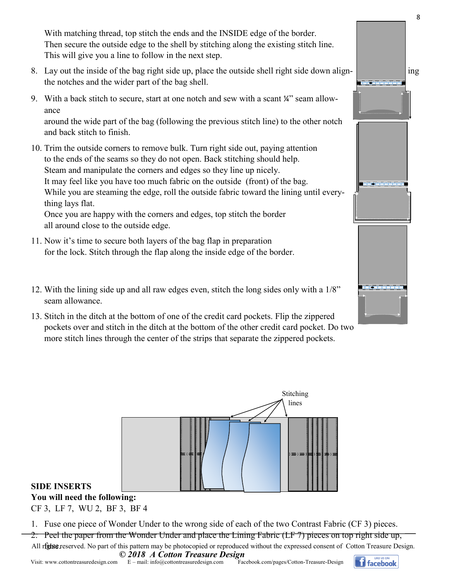With matching thread, top stitch the ends and the INSIDE edge of the border. Then secure the outside edge to the shell by stitching along the existing stitch line. This will give you a line to follow in the next step.

- 8. Lay out the inside of the bag right side up, place the outside shell right side down alignthe notches and the wider part of the bag shell.
- 9. With a back stitch to secure, start at one notch and sew with a scant ¼" seam allowance around the wide part of the bag (following the previous stitch line) to the other notch

and back stitch to finish.

- 10. Trim the outside corners to remove bulk. Turn right side out, paying attention to the ends of the seams so they do not open. Back stitching should help. Steam and manipulate the corners and edges so they line up nicely. It may feel like you have too much fabric on the outside (front) of the bag. While you are steaming the edge, roll the outside fabric toward the lining until everything lays flat. Once you are happy with the corners and edges, top stitch the border all around close to the outside edge.
- 11. Now it's time to secure both layers of the bag flap in preparation for the lock. Stitch through the flap along the inside edge of the border.
- 12. With the lining side up and all raw edges even, stitch the long sides only with a 1/8" seam allowance.
- 13. Stitch in the ditch at the bottom of one of the credit card pockets. Flip the zippered pockets over and stitch in the ditch at the bottom of the other credit card pocket. Do two more stitch lines through the center of the strips that separate the zippered pockets.



#### **SIDE INSERTS**

**You will need the following:**

CF 3, LF 7, WU 2, BF 3, BF 4

- 1. Fuse one piece of Wonder Under to the wrong side of each of the two Contrast Fabric (CF 3) pieces.
- 2. Peel the paper from the Wonder Under and place the Lining Fabric (LF 7) pieces on top right side up,
- All rigist reserved. No part of this pattern may be photocopied or reproduced without the expressed consent of Cotton Treasure Design. *© 2018 A Cotton Treasure Design*



ϴ

<u> 1951 - Jan Jan Ja</u>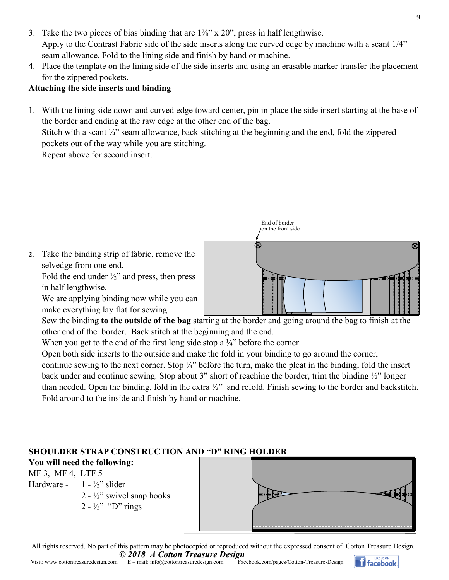- 3. Take the two pieces of bias binding that are  $1\frac{1}{8}$ " x  $20$ ", press in half lengthwise. Apply to the Contrast Fabric side of the side inserts along the curved edge by machine with a scant 1/4" seam allowance. Fold to the lining side and finish by hand or machine.
- 4. Place the template on the lining side of the side inserts and using an erasable marker transfer the placement for the zippered pockets.

#### **Attaching the side inserts and binding**

1. With the lining side down and curved edge toward center, pin in place the side insert starting at the base of the border and ending at the raw edge at the other end of the bag. Stitch with a scant  $\frac{1}{4}$ " seam allowance, back stitching at the beginning and the end, fold the zippered

pockets out of the way while you are stitching.

Repeat above for second insert.



Sew the binding **to the outside of the bag** starting at the border and going around the bag to finish at the other end of the border. Back stitch at the beginning and the end.

When you get to the end of the first long side stop a  $\frac{1}{4}$ " before the corner.

Open both side inserts to the outside and make the fold in your binding to go around the corner,

continue sewing to the next corner. Stop ¼" before the turn, make the pleat in the binding, fold the insert back under and continue sewing. Stop about 3" short of reaching the border, trim the binding ½" longer than needed. Open the binding, fold in the extra ½" and refold. Finish sewing to the border and backstitch. Fold around to the inside and finish by hand or machine.

### **SHOULDER STRAP CONSTRUCTION AND "D" RING HOLDER**

**You will need the following:** MF 3, MF 4, LTF 5 Hardware -  $1 - \frac{1}{2}$ " slider 2 - ½" swivel snap hooks  $2 - \frac{1}{2}$ " "D" rings

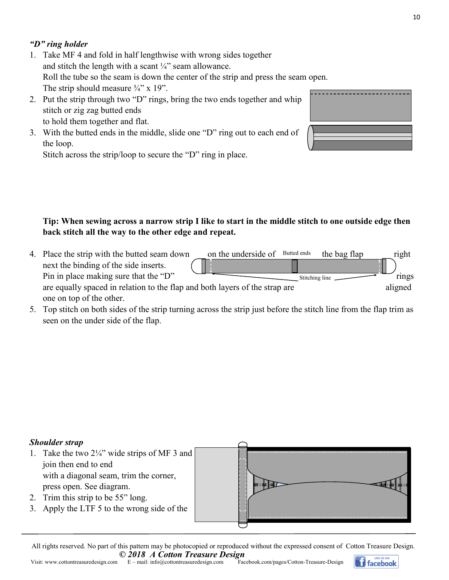### *"D" ring holder*

- 1. Take MF 4 and fold in half lengthwise with wrong sides together and stitch the length with a scant  $\frac{1}{4}$  seam allowance. Roll the tube so the seam is down the center of the strip and press the seam open. The strip should measure  $\frac{3}{4}$ " x 19".
- 2. Put the strip through two "D" rings, bring the two ends together and whip stitch or zig zag butted ends to hold them together and flat.
- 3. With the butted ends in the middle, slide one "D" ring out to each end of the loop.

Stitch across the strip/loop to secure the "D" ring in place.

#### **Tip: When sewing across a narrow strip I like to start in the middle stitch to one outside edge then back stitch all the way to the other edge and repeat.**

- 4. Place the strip with the butted seam down on the underside of Butted ends the bag flap right next the binding of the side inserts. Pin in place making sure that the "D"  $\overline{\phantom{a}}$  rings rings are equally spaced in relation to the flap and both layers of the strap are aligned one on top of the other. Butted ends Stitching line
- 5. Top stitch on both sides of the strip turning across the strip just before the stitch line from the flap trim as seen on the under side of the flap.

#### *Shoulder strap*

- 1. Take the two 2¼" wide strips of MF 3 and join then end to end with a diagonal seam, trim the corner, press open. See diagram.
- 2. Trim this strip to be 55" long.
- 3. Apply the LTF 5 to the wrong side of the

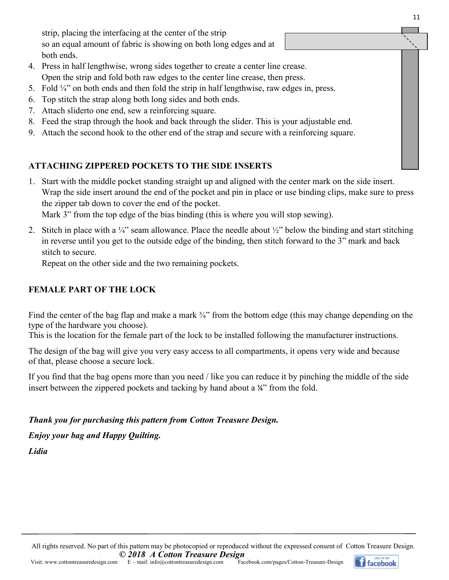strip, placing the interfacing at the center of the strip so an equal amount of fabric is showing on both long edges and at both ends.

- 4. Press in half lengthwise, wrong sides together to create a center line crease. Open the strip and fold both raw edges to the center line crease, then press.
- 5. Fold  $\frac{1}{4}$  on both ends and then fold the strip in half lengthwise, raw edges in, press.
- 6. Top stitch the strap along both long sides and both ends.
- 7. Attach sliderto one end, sew a reinforcing square.
- 8. Feed the strap through the hook and back through the slider. This is your adjustable end.
- 9. Attach the second hook to the other end of the strap and secure with a reinforcing square.

### **ATTACHING ZIPPERED POCKETS TO THE SIDE INSERTS**

1. Start with the middle pocket standing straight up and aligned with the center mark on the side insert. Wrap the side insert around the end of the pocket and pin in place or use binding clips, make sure to press the zipper tab down to cover the end of the pocket.

Mark 3" from the top edge of the bias binding (this is where you will stop sewing).

2. Stitch in place with a  $\frac{1}{4}$ " seam allowance. Place the needle about  $\frac{1}{2}$ " below the binding and start stitching in reverse until you get to the outside edge of the binding, then stitch forward to the 3" mark and back stitch to secure.

Repeat on the other side and the two remaining pockets.

### **FEMALE PART OF THE LOCK**

Find the center of the bag flap and make a mark  $\frac{3}{4}$ " from the bottom edge (this may change depending on the type of the hardware you choose).

This is the location for the female part of the lock to be installed following the manufacturer instructions.

The design of the bag will give you very easy access to all compartments, it opens very wide and because of that, please choose a secure lock.

If you find that the bag opens more than you need / like you can reduce it by pinching the middle of the side insert between the zippered pockets and tacking by hand about a  $\chi$ " from the fold.

*Thank you for purchasing this pattern from Cotton Treasure Design.*

*Enjoy your bag and Happy Quilting.*

*Lidia*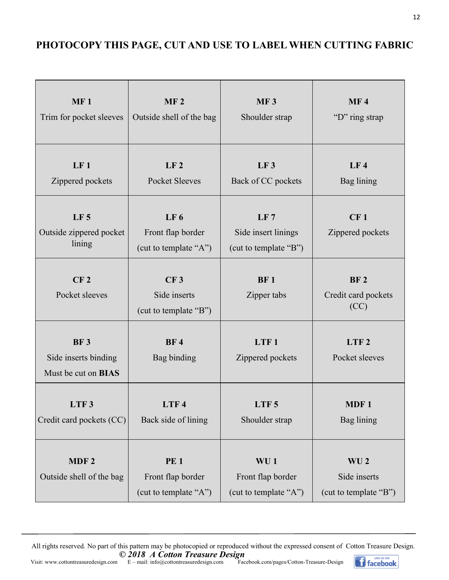## **PHOTOCOPY THIS PAGE, CUT AND USE TO LABEL WHEN CUTTING FABRIC**

| MF <sub>1</sub><br>Trim for pocket sleeves                       | MF <sub>2</sub><br>Outside shell of the bag                   | <b>MF3</b><br>Shoulder strap                                  | <b>MF4</b><br>"D" ring strap                             |  |
|------------------------------------------------------------------|---------------------------------------------------------------|---------------------------------------------------------------|----------------------------------------------------------|--|
| LF <sub>1</sub><br>Zippered pockets                              | LF <sub>2</sub><br>Pocket Sleeves                             | LF3<br>Back of CC pockets                                     | LF <sub>4</sub><br>Bag lining                            |  |
| LF <sub>5</sub><br>Outside zippered pocket<br>lining             | LF <sub>6</sub><br>Front flap border<br>(cut to template "A") | LF 7<br>Side insert linings<br>(cut to template "B")          | CF <sub>1</sub><br>Zippered pockets                      |  |
| CF <sub>2</sub><br>Pocket sleeves                                | CF <sub>3</sub><br>Side inserts<br>(cut to template "B")      | <b>BF1</b><br>Zipper tabs                                     | <b>BF2</b><br>Credit card pockets<br>(CC)                |  |
| <b>BF3</b><br>Side inserts binding<br>Must be cut on <b>BIAS</b> | <b>BF4</b><br>Bag binding                                     | LTF1<br>Zippered pockets                                      | LTF <sub>2</sub><br>Pocket sleeves                       |  |
| LTF 3<br>Credit card pockets (CC)                                | LTF 4<br>Back side of lining                                  | LTF 5<br>Shoulder strap                                       | MDF 1<br>Bag lining                                      |  |
| MDF <sub>2</sub><br>Outside shell of the bag                     | <b>PE1</b><br>Front flap border<br>(cut to template "A")      | WU <sub>1</sub><br>Front flap border<br>(cut to template "A") | WU <sub>2</sub><br>Side inserts<br>(cut to template "B") |  |

All rights reserved. No part of this pattern may be photocopied or reproduced without the expressed consent of Cotton Treasure Design. *© 2018 A Cotton Treasure Design*



12